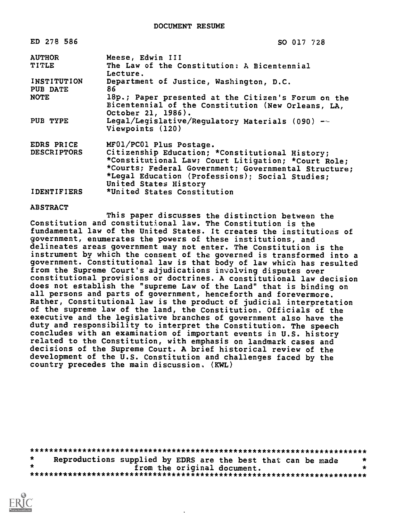| ED 278 586                     | SO 017 728                                                                                                                                                                                                                                 |  |  |  |
|--------------------------------|--------------------------------------------------------------------------------------------------------------------------------------------------------------------------------------------------------------------------------------------|--|--|--|
| <b>AUTHOR</b>                  | Meese, Edwin III                                                                                                                                                                                                                           |  |  |  |
| TITLE                          | The Law of the Constitution: A Bicentennial                                                                                                                                                                                                |  |  |  |
|                                | Lecture.                                                                                                                                                                                                                                   |  |  |  |
| <b>INSTITUTION</b><br>PUB DATE | Department of Justice, Washington, D.C.<br>86.                                                                                                                                                                                             |  |  |  |
| <b>NOTE</b>                    | 18p.; Paper presented at the Citizen's Forum on the<br>Bicentennial of the Constitution (New Orleans, LA,<br>October 21, 1986).                                                                                                            |  |  |  |
| PUB TYPE                       | Legal/Legislative/Regulatory Materials (090) --<br>Viewpoints (120)                                                                                                                                                                        |  |  |  |
| EDRS PRICE                     | MF01/PC01 Plus Postage.                                                                                                                                                                                                                    |  |  |  |
| <b>DESCRIPTORS</b>             | Citizenship Education; *Constitutional History;<br>*Constitutional Law; Court Litigation; *Court Role;<br>*Courts; Federal Government; Governmental Structure;<br>*Legal Education (Professions); Social Studies;<br>United States History |  |  |  |
| <b>IDENTIFIERS</b>             | *United States Constitution                                                                                                                                                                                                                |  |  |  |

## ABSTRACT

This paper discusses the distinction between the Constitution and constitutional law. The Constitution is the fundamental law of the United States. It creates the institutions of government, enumerates the powers of these institutions, and delineates areas government may not enter. The Constitution is the instrument by which the consent of the governed is transformed into a government. Constitutional law is that body of law which has resulted from the Supreme Court's adjudications involving disputes over constitutional provisions or doctrines. A constitutional law decision does not establish the "supreme Law of the Land" that is binding on all persons and parts of government, henceforth and forevermore. Rather, Constitutional law is the product of judicial interpretation of the supreme law of the land, the Constitution. Officials of the executive and the legislative branches of government also have the duty and responsibility to interpret the Constitution. The speech concludes with an examination of important events in U.S. history related to the Constitution, with emphasis on landmark cases and decisions of the Supreme Court. A brief historical review of the development of the U.S. Constitution and challenges faced by the country precedes the main discussion, (KWL)

|  |                             | Reproductions supplied by EDRS are the best that can be made |  |
|--|-----------------------------|--------------------------------------------------------------|--|
|  | from the original document. |                                                              |  |
|  |                             |                                                              |  |

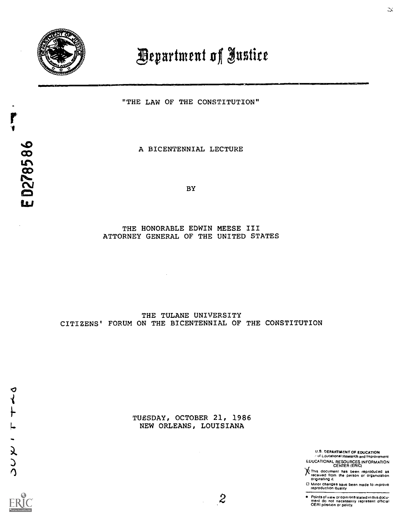

ED278586

## **Department of Justice**

"THE LAW OF THE CONSTITUTION"

A BICENTENNIAL LECTURE

BY

## THE HONORABLE EDWIN MEESE III ATTORNEY GENERAL OF THE UNITED STATES

 $\bar{z}$ 

## THE TULANE UNIVERSITY CITIZENS' FORUM ON THE BICENTENNIAL OF THE CONSTITUTION

TUESDAY, OCTOBER 21, 1986 NEW ORLEANS, LOUISIANA

U.S. DEPARTMENT OF EDUCATION<br>· of Loucational Research and Improvement

EDUCATIONAL RESOURCES INFORMATION CENTER (ERIC)

This document has been reproduced as received from the person or organization orloinating IL

0 Minor changes have been made to improve reproduction quality

 $\bullet$ 

ю



 $\boldsymbol{z}$ 

INNEN.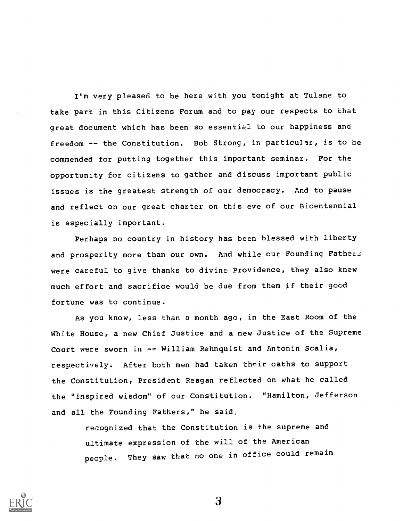I'm very pleased to be here with you tonight at Tulane to take part in this Citizens Forum and to pay our respects to that great document which has been so essential to our happiness and freedom -- the Constitution. Bob Strong, in particular, is to be commended for putting together this important seminar. For the opportunity for citizens to gather and discuss important public issues is the greatest strength of our democracy. And to pause and reflect on our great charter on this eve of our Bicentennial is especially important.

Perhaps no country in history has been blessed with liberty and prosperity more than our own. And while our Founding Fatheis were careful to give thanks to divine Providence, they also knew much effort and sacrifice would be due from them if their good fortune was to continue.

As you know, less than a month ago, in the East Room of the White House, a new Chief Justice and a new Justice of the Supreme Court were sworn in -- William Rehnquist and Antonin Scalia, respectively. After both men had taken their oaths to support the Constitution, President Reagan reflected on what he called the "inspired wisdom" of cur Constitution. "Hamilton, Jefferson and all the Founding Fathers," he said,

> recognized that the Constitution is the supreme and ultimate expression of the will of the American people. They saw that no one in office could remain



ः3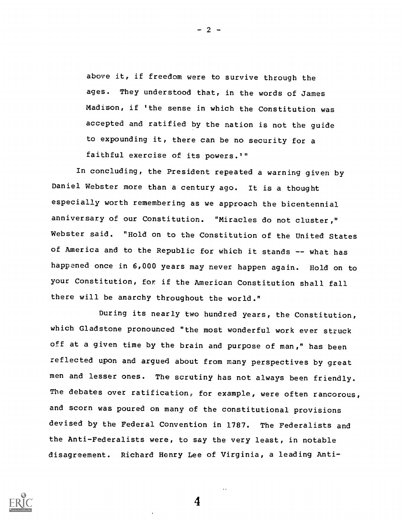above it, if freedom were to survive through the ages. They understood that, in the words of James Madison, if 'the sense in which the Constitution was accepted and ratified by the nation is not the guide to expounding it, there can be no security for <sup>a</sup> faithful exercise of its powers.'"

In concluding, the President repeated a warning given by Daniel Webster more than a century ago. It is a thought especially worth remembering as we approach the bicentennial anniversary of our Constitution. "Miracles do not cluster," Webster said. "Hold on to the Constitution of the United States of America and to the Republic for which it stands -- what has happened once in 6,000 years may never happen again. Hold on to your Constitution, for if the American Constitution shall fall there will be anarchy throughout the world."

During its nearly two hundred years, the Constitution, which Gladstone pronounced "the most wonderful work ever struck off at a given time by the brain and purpose of man," has been reflected upon and argued about from many perspectives by great men and lesser ones. The scrutiny has not always been friendly. The debates over ratification, for example, were often rancorous, and scorn was poured on many of the constitutional provisions devised by the Federal Convention in 1787. The Federalists and the Anti-Federalists were, to say the very least, in notable disagreement. Richard Henry Lee of Virginia, a leading Anti-



- 2 -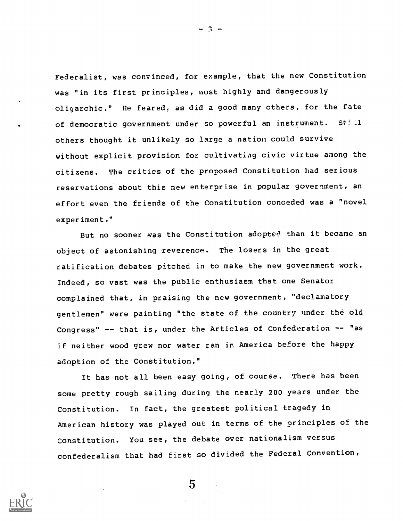Federalist, was convinced, for example, that the new Constitution was "in its first principles, most highly and dangerously oligarchic." He feared, as did a good many others, for the fate of democratic government under so powerful an instrument. Still others thought it unlikely so large a nation could survive without explicit provision for cultivatiag civic virtue among the citizens. The critics of the proposed Constitution had serious reservations about this new enterprise in popular government, an effort even the friends of the Constitution conceded was a "novel experiment."

But no sooner was the Constitution adopted than it became an object of astonishing reverence. The losers in the great ratification debates pitched in to make the new government work. Indeed, so vast was the public enthusiasm that one Senator complained that, in praising the new government, "declamatory gentlemen" were painting "the state of the country under the old Congress" -- that is, under the Articles of Confederation -- "as if neither wood grew nor water ran in America before the happy adoption of the Constitution."

It has not all been easy going, of course. There has been some pretty rough sailing during the nearly 200 years under the Constitution. In fact, the greatest political tragedy in American history was played out in terms of the principles of the Constitution. You see, the debate over nationalism versus confederalism that had first so divided the Federal Convention,



 $5^{\circ}$ 

- 3 -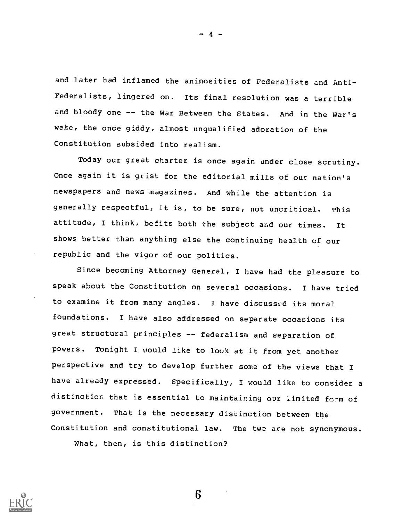and later had inflamed the animosities of Federalists and Anti-Federalists, lingered on. Its final resolution was a terrible and bloody one -- the War Between the States. And in the War's wake, the once giddy, almost unqualified adoration of the Constitution subsided into realism.

Today our great charter is once again under close scrutiny. Once again it is grist for the editorial mills of our nation's newspapers and news magazines. And while the attention is generally respectful, it is, to be sure, not uncritical. This attitude, I think, befits both the subject and our times. It shows better than anything else the continuing health of our republic and the vigor of our politics.

Since becoming Attorney General, I have had the pleasure to speak about the Constitution on several occasions. I have tried to examine it from many angles. I have discusse:d its moral foundations. I have also addressed on separate occasions its great structural principles -- federalism and separation of powers. Tonight I would like to look at it from yet another perspective and try to develop further some of the views that I have already expressed. Specifically, I would like to consider <sup>a</sup> distinction that is essential to maintaining our limited form of government. That is the necessary distinction between the Constitution and constitutional law. The two are not synonymous.

6

What, then, is this distinction?

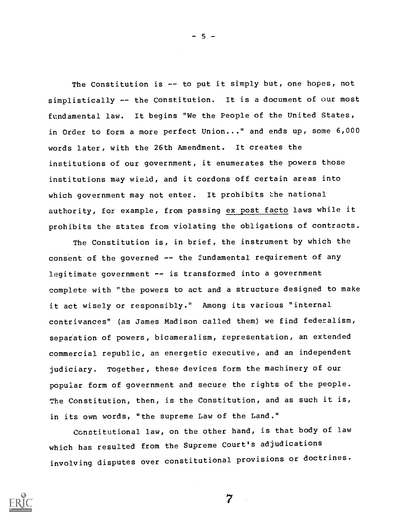The Constitution is -- to put it simply but, one hopes, not simplistically -- the Constitution. It is a document of our most fundamental law. It begins "We the People of the United States, in Order to form a more perfect Union..." and ends up, some 6,000 words later, with the 26th Amendment. It creates the institutions of our government, it enumerates the powers those institutions may wield, and it cordons off certain areas into which government may not enter. It prohibits the national authority, for example, from passing ex post facto laws while it prohibits the states from violating the obligations of contracts.

The Constitution is, in brief, the instrument by which the consent of the governed -- the fundamental requirement of any legitimate government -- is transformed into a government complete with "the powers to act and a structure designed to make it act wisely or responsibly." Among its various "internal contrivances" (as James Madison called them) we find federalism, separation of powers, bicameralism, representation, an extended commercial republic, an energetic executive, and an independent judiciary. Together, these devices form the machinery of our popular form of government and secure the rights of the people. The Constitution, then, is the Constitution, and as such it is, in its own words, "the supreme Law of the Land."

Constitutional law, on the other hand, is that body of law which has resulted from the Supreme Court's adjudications involving disputes over constitutional provisions or doctrines.

7



 $5 -$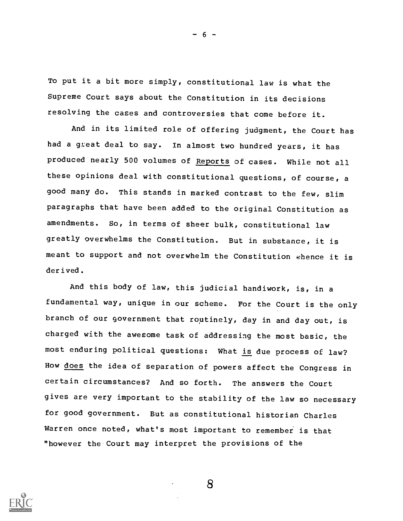To put it a bit more simply, constitutional law is what the Supreme Court says about the Constitution in its decisions resolving the cases and controversies that come before it.

And in its limited role of offering judgment, the Court has had a great deal to say. In almost two hundred years, it has produced nearly 500 volumes of Reports of cases. While not all these opinions deal with constitutional questions, of course, a good many do. This stands in marked contrast to the few, slim paragraphs that have been added to the original Constitution as amendments. So, in terms of sheer bulk, constitutional law greatly overwhelms the Constitution. But in substance, it is meant to support and not overwhelm the Constitution whence it is derived.

And this body of law, this judicial handiwork, is, in a fundamental way, unique in our scheme. For the Court is the only branch of our government that routinely, day in and day out, is charged with the aweeome task of addressing the most basic, the most enduring political questions: What is due process of law? How does the idea of separation of powers affect the Congress in certain circumstances? And so forth. The answers the Court gives are very important to the stability of the law so necessary for good government. But as constitutional historian Charles Warren once noted, what's most important to remember is that "however the Court may interpret the provisions of the



8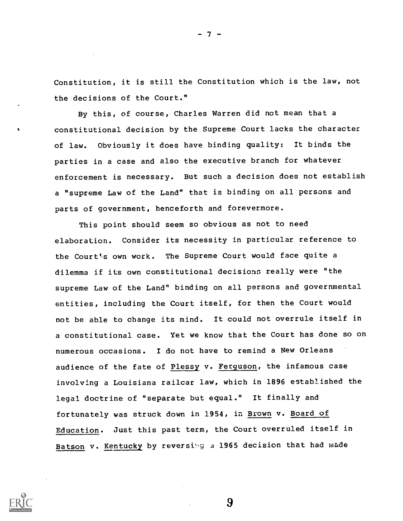Constitution, it is still the Constitution which is the law, not the decisions of the Court."

By this, of course, Charles Warren did not mean that a constitutional decision by the Supreme Court lacks the character of law. Obviously it does have binding quality: It binds the parties in a case and also the executive branch for whatever enforcement is necessary. But such a decision does not establish a "supreme Law of the Land" that is binding on all persons and parts of government, henceforth and forevermore.

This point should seem so obvious as not to need elaboration. Consider its necessity in particular reference to the Court's own work. The Supreme Court would face quite a dilemma if its own constitutional decisions really were "the supreme Law of the Land" binding on all persons and governmental entities, including the Court itself, for then the Court would not be able to change its mind. It could not overrule itself in a constitutional case. Yet we know that the Court has done so on numerous occasions. I do not have to remind a New Orleans audience of the fate of Plessy v. Ferguson, the infamous case involving a Louisiana railcar law, which in 1896 established the legal doctrine of "separate but equal." It finally and fortunately was struck down in 1954, in Brown v. Board of Education. Just this past term, the Court overruled itself in Batson v. Kentucky by reversing a 1965 decision that had made



9

7 –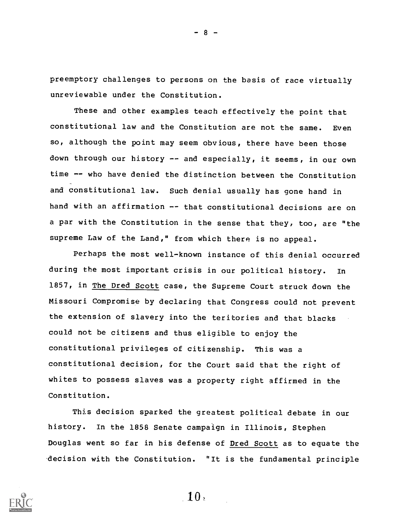preemptory challenges to persons on the basis of race virtually unreviewable under the Constitution.

These and other examples teach effectively the point that constitutional law and the Constitution are not the same. Even so, although the point may seem obvious, there have been those down through our history -- and especially, it seems, in our own time -- who have denied the distinction between the Constitution and constitutional law. Such denial usually has gone hand in hand with an affirmation -- that constitutional decisions are on a par with the Constitution in the sense that they, too, are "the supreme Law of the Land," from which there is no appeal.

Perhaps the most well-known instance of this denial occurred during the most important crisis in our political history. In 1857, in The Dred Scott case, the Supreme Court struck down the Missouri Compromise by declaring that Congress could not prevent the extension of slavery into the teritories and that blacks could not be citizens and thus eligible to enjoy the constitutional privileges of citizenship. This was a constitutional decision, for the Court said that the right of whites to possess slaves was a property right affirmed in the Constitution.

This decision sparked the greatest political debate in our history. In the 1858 Senate campaign in Illinois, Stephen Douglas went so far in his defense of Dred Scott as to equate the decision with the Constitution. "It is the fundamental principle



- 8 -

10,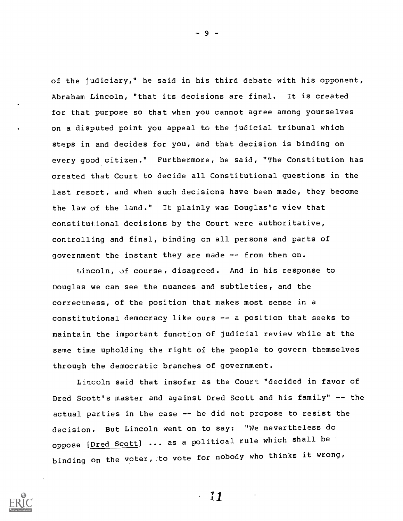of the judiciary," he said in his third debate with his opponent, Abraham Lincoln, "that its decisions are final. It is created for that purpose so that when you cannot agree among yourselves on a disputed point you appeal to the judicial tribunal which steps in and decides for you, and that decision is binding on every good citizen." Furthermore, he said, "The Constitution has created that Court to decide all Constitutional questions in the last resort, and when such decisions have been made, they become the law of the land." It plainly was Douglas's view that constitutional decisions by the Court were authoritative, controlling and final, binding on all persons and parts of government the instant they are made -- from then on.

Lincoln, jf course, disagreed. And in his response to Douglas we can see the nuances and subtleties, and the correctness, of the position that makes most sense in a constitutional democracy like ours -- a position that seeks to maintain the important function of judicial review while at the same time upholding the right of the people to govern themselves through the democratic branches of government.

Lincoln said that insofar as the Court "decided in favor of Dred Scott's master and against Dred Scott and his family" -- the actual parties in the case -- he did not propose to resist the decision. But Lincoln went on to say: "We nevertheless do oppose [Dred Scott] ... as a political rule which shall be binding on the voter, to vote for nobody who thinks it wrong,



- و

 $\frac{1}{2}$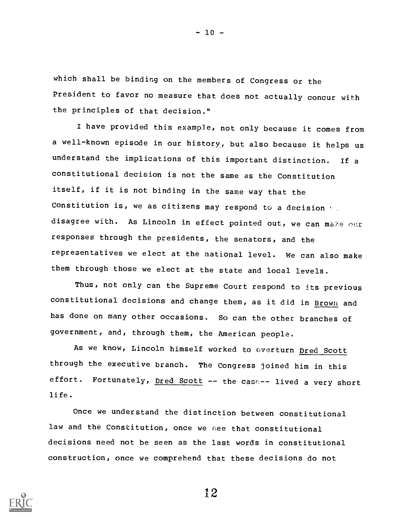which shall be binding on the members of Congress or the President to favor no measure that does not actually concur with the principles of that decision."

I have provided this example, not only because it comes from a well-known episode in our history., but also because it helps us understand the implications of this important distinction. If a constitutional decision is not the same as the Constitution itself, if it is not binding in the same way that the Constitution is, we as citizens may respond to a decision we disagree with. As Lincoln in effect pointed out, we can make our responses through the presidents, the senators, and the representatives we elect at the national level. We can also make them through those we elect at the state and local levels.

Thus, not only can the Supreme Court respond to its previous constitutional decisions and change them, as it did in Brown and has done on many other occasions. So can the other branches of government, and, through them, the American people.

As we know, Lincoln himself worked to averturn Dred Scott through the executive branch. The Congress joined him in this effort. Fortunately, Dred Scott -- the case-- lived a very short life.

Once we understand the distinction between constitutional law and the Constitution, once we see that constitutional decisions need not be seen as the last words in constitutional construction, once we comprehend that these decisions do not



12

 $-10 -$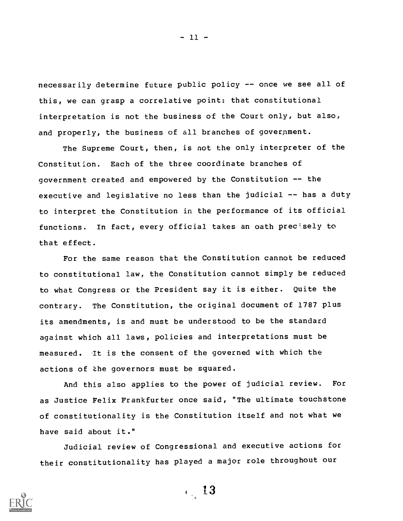necessarily determine future public policy -- once we see all of this, we can grasp a correlative point: that constitutional interpretation is not the business of the Court only, but also, and properly, the business of all branches of goverpment.

The Supreme Court, then, is not the only interpreter of the Constitution. Each of the three coordinate branches of government created and empowered by the Constitution -- the executive and legislative no less than the judicial -- has a duty to interpret the Constitution in the performance of its official functions. In fact, every official takes an oath prec'sely to that effect.

For the same reason that the Constitution cannot be reduced to constitutional law, the Constitution cannot simply be reduced to what Congress or the President say it is either. Quite the contrary. The Constitution, the original document of 1787 plus its amendments, is and must be understood to be the standard against which all laws, policies and interpretations must be measured. It is the consent of the governed with which the actions of the governors must be squared.

And this also applies to the power of judicial review. For as Justice Felix Frankfurter once said, "The ultimate touchstone of constitutionality is the Constitution itself and not what we have said about it."

Judicial review of Congressional and executive actions for their constitutionality has played a major role throughout our

13



 $-11 -$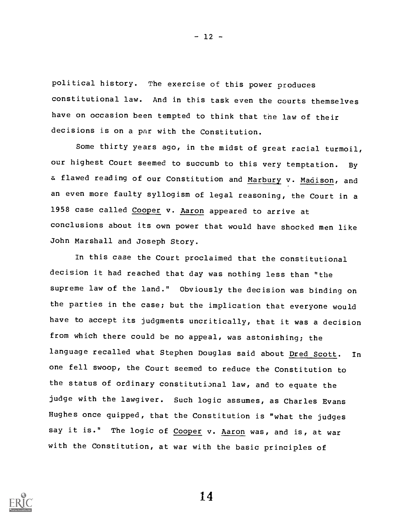political history. The exercise of this power produces constitutional law. And in this task even the courts themselves have on occasion been tempted to think that the law of their decisions is on a par with the Constitution.

Some thirty years ago, in the midst of great racial turmoil, our highest Court seemed to succumb to this very temptation. By a flawed reading of our Constitution and Marbury v. Madison, and an even more faulty syllogism of legal reasoning, the Court in a 1958 case called Cooper v. Aaron appeared to arrive at conclusions about its own power that would have shocked men like John Marshall and Joseph Story.

In this case the Court proclaimed that the constitutional decision it had reached that day was nothing less than "the supreme law of the land." Obviously the decision was binding on the parties in the case; but the implication that everyone would have to accept its judgments uncritically, that it was a decision from which there could be no appeal, was astonishing; the language recalled what Stephen Douglas said about Dred Scott. In one fell swoop, the Court seemed to reduce the Constitution to the status of ordinary constitutional law, and to equate the judge with the lawgiver. Such logic assumes, as Charles Evans Hughes once quipped, that the Constitution is "what the judges say it is." The logic of Cooper v. Aaron was, and is, at war with the Constitution, at war with the basic principles of



14

 $- 12 -$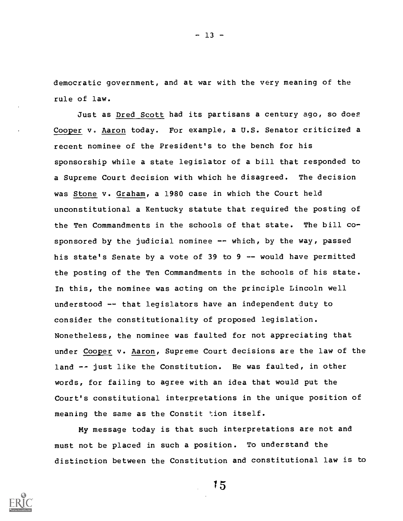democratic government, and at war with the very meaning of the rule of law.

Just as Dred Scott had its partisans a century ago, so does Cooper v. Aaron today. For example, a U.S. Senator criticized a recent nominee of the President's to the bench for his sponsorship while a state legislator of a bill that responded to a Supreme Court decision with which he disagreed. The decision was Stone v. Graham, a 1980 case in which the Court held unconstitutional a Kentucky statute that required the posting of the Ten Commandments in the schools of that state. The bill cosponsored by the judicial nominee  $-$ - which, by the way, passed his state's Senate by a vote of 39 to 9 -- would have permitted the posting of the Ten Commandments in the schools of his state. In this, the nominee was acting on the principle Lincoln well understood -- that legislators have an independent duty to consider the constitutionality of proposed legislation. Nonetheless, the nominee was faulted for not appreciating that under Cooper v. Aaron, Supreme Court decisions are the law of the land -- just like the Constitution. He was faulted, in other words, for failing to agree with an idea that would put the Court's constitutional interpretations in the unique position of meaning the same as the Constit tion itself.

My message today is that such interpretations are not and must not be placed in such a position. To understand the distinction between the Constitution and constitutional law is to

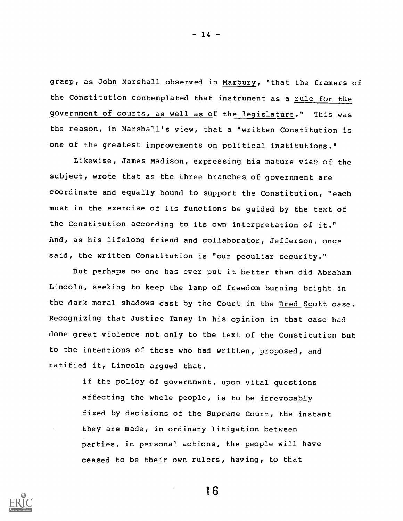grasp, as John Marshall observed in Marbury, "that the framers of the Constitution contemplated that instrument as a rule for the government of courts, as well as of the legislature." This was the reason, in Marshall's view, that a "written Constitution is one of the greatest improvements on political institutions."

Likewise, James Madison, expressing his mature view of the subject, wrote that as the three branches of government are coordinate and equally bound to support the Constitution, "each must in the exercise of its functions be guided by the text of the Constitution according to its own interpretation of it." And, as his lifelong friend and collaborator, Jefferson, once said, the written Constitution is "our peculiar security."

But perhaps no one has ever put it better than did Abraham Lincoln, seeking to keep the lamp of freedom burning bright in the dark moral shadows cast by the Court in the Dred Scott case. Recognizing that Justice Taney in his opinion in that case had done great violence not only to the text of the Constitution but to the intentions of those who had written, proposed, and ratified it, Lincoln argued that,

> if the policy of government, upon vital questions affecting the whole people, is to be irrevocably fixed by decisions of the Supreme Court, the instant they are made, in ordinary litigation between parties, in petsonal actions, the people will have ceased to be their own rulers, having, to that



16

- 14 -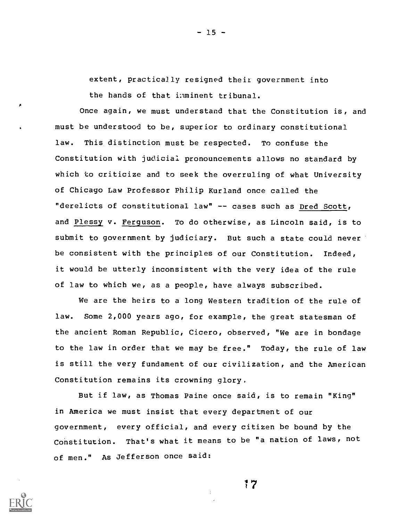extent, practically resigned their government into the hands of that inminent tribunal.

Once again, we must understand that the Constitution is, and must be understood to be, superior to ordinary constitutional law. This distinction must be respected. To confuse the Constitution with judicial pronouncements allows no standard by which to criticize and to seek the overruling of what University of Chicago Law Professor Philip Kurland once called the "derelicts of constitutional law" -- cases such as Dred Scott, and Plessy v. Ferguson. To do otherwise, as Lincoln said, is to submit to government by judiciary. But such a state could never be consistent with the principles of our Constitution. Indeed, it would be utterly inconsistent with the very idea of the rule of law to which we, as a people, have always subscribed.

We are the heirs to a long Western tradition of the rule of law. Some 2,000 years ago, for example, the great statesman of the ancient Roman Republic, Cicero, observed, "We are in bondage to the law in order that we may be free." Today, the rule of law is still the very fundament of our civilization, and the American Constitution remains its crowning glory,

But if law, as Thomas Paine once said, is to remain "King" in America we must insist that every department of our government, every official, and every citizen be bound by the Constitution. That's what it means to be "a nation of laws, not of men." As Jefferson once said:

 $\frac{1}{4}$ 



 $- 15 -$